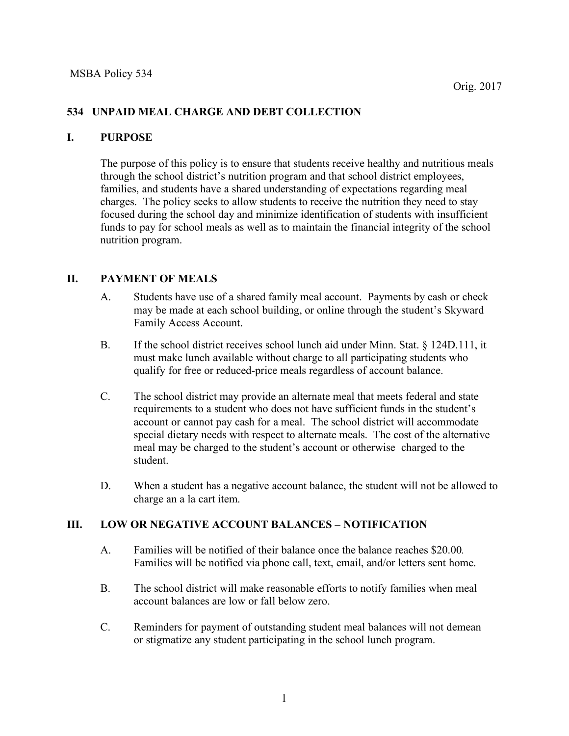## **534 UNPAID MEAL CHARGE AND DEBT COLLECTION**

### **I. PURPOSE**

The purpose of this policy is to ensure that students receive healthy and nutritious meals through the school district's nutrition program and that school district employees, families, and students have a shared understanding of expectations regarding meal charges. The policy seeks to allow students to receive the nutrition they need to stay focused during the school day and minimize identification of students with insufficient funds to pay for school meals as well as to maintain the financial integrity of the school nutrition program.

### **II. PAYMENT OF MEALS**

- A. Students have use of a shared family meal account. Payments by cash or check may be made at each school building, or online through the student's Skyward Family Access Account.
- B. If the school district receives school lunch aid under Minn. Stat. § 124D.111, it must make lunch available without charge to all participating students who qualify for free or reduced-price meals regardless of account balance.
- C. The school district may provide an alternate meal that meets federal and state requirements to a student who does not have sufficient funds in the student's account or cannot pay cash for a meal. The school district will accommodate special dietary needs with respect to alternate meals. The cost of the alternative meal may be charged to the student's account or otherwise charged to the student.
- D. When a student has a negative account balance, the student will not be allowed to charge an a la cart item.

### **III. LOW OR NEGATIVE ACCOUNT BALANCES – NOTIFICATION**

- A. Families will be notified of their balance once the balance reaches \$20.00*.* Families will be notified via phone call, text, email, and/or letters sent home.
- B. The school district will make reasonable efforts to notify families when meal account balances are low or fall below zero.
- C. Reminders for payment of outstanding student meal balances will not demean or stigmatize any student participating in the school lunch program.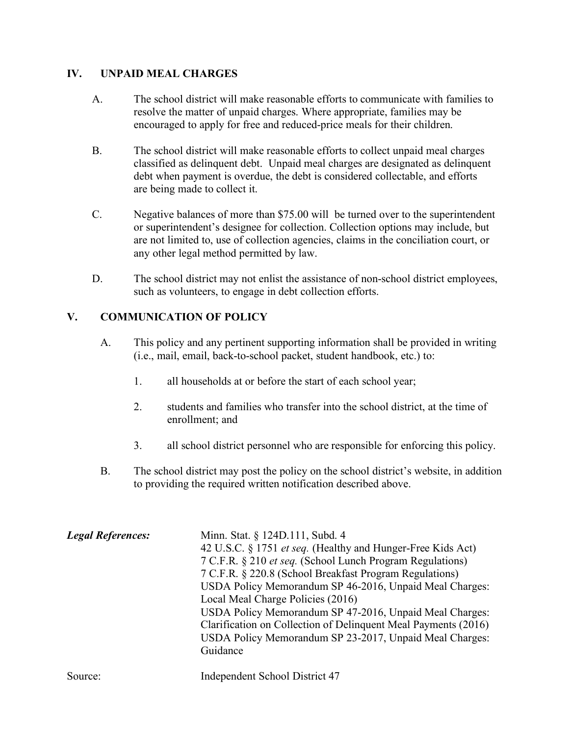## **IV. UNPAID MEAL CHARGES**

- A. The school district will make reasonable efforts to communicate with families to resolve the matter of unpaid charges. Where appropriate, families may be encouraged to apply for free and reduced-price meals for their children.
- B. The school district will make reasonable efforts to collect unpaid meal charges classified as delinquent debt. Unpaid meal charges are designated as delinquent debt when payment is overdue, the debt is considered collectable, and efforts are being made to collect it.
- C. Negative balances of more than \$75.00 will be turned over to the superintendent or superintendent's designee for collection. Collection options may include, but are not limited to, use of collection agencies, claims in the conciliation court, or any other legal method permitted by law.
- D. The school district may not enlist the assistance of non-school district employees, such as volunteers, to engage in debt collection efforts.

# **V. COMMUNICATION OF POLICY**

- A. This policy and any pertinent supporting information shall be provided in writing (i.e., mail, email, back-to-school packet, student handbook, etc.) to:
	- 1. all households at or before the start of each school year;
	- 2. students and families who transfer into the school district, at the time of enrollment; and
	- 3. all school district personnel who are responsible for enforcing this policy.
- B. The school district may post the policy on the school district's website, in addition to providing the required written notification described above.

| <b>Legal References:</b> | Minn. Stat. § 124D.111, Subd. 4                                |
|--------------------------|----------------------------------------------------------------|
|                          | 42 U.S.C. § 1751 et seq. (Healthy and Hunger-Free Kids Act)    |
|                          | 7 C.F.R. § 210 et seq. (School Lunch Program Regulations)      |
|                          | 7 C.F.R. § 220.8 (School Breakfast Program Regulations)        |
|                          | USDA Policy Memorandum SP 46-2016, Unpaid Meal Charges:        |
|                          | Local Meal Charge Policies (2016)                              |
|                          | USDA Policy Memorandum SP 47-2016, Unpaid Meal Charges:        |
|                          | Clarification on Collection of Delinquent Meal Payments (2016) |
|                          | USDA Policy Memorandum SP 23-2017, Unpaid Meal Charges:        |
|                          | Guidance                                                       |
|                          |                                                                |

Source: Independent School District 47